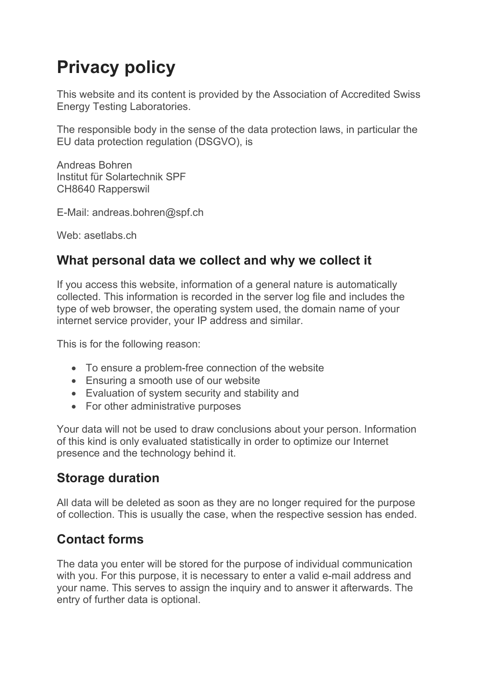# **Privacy policy**

This website and its content is provided by the Association of Accredited Swiss Energy Testing Laboratories.

The responsible body in the sense of the data protection laws, in particular the EU data protection regulation (DSGVO), is

Andreas Bohren Institut für Solartechnik SPF CH8640 Rapperswil

E-Mail: andreas.bohren@spf.ch

Web: asetlabs.ch

### **What personal data we collect and why we collect it**

If you access this website, information of a general nature is automatically collected. This information is recorded in the server log file and includes the type of web browser, the operating system used, the domain name of your internet service provider, your IP address and similar.

This is for the following reason:

- To ensure a problem-free connection of the website
- Ensuring a smooth use of our website
- Evaluation of system security and stability and
- For other administrative purposes

Your data will not be used to draw conclusions about your person. Information of this kind is only evaluated statistically in order to optimize our Internet presence and the technology behind it.

## **Storage duration**

All data will be deleted as soon as they are no longer required for the purpose of collection. This is usually the case, when the respective session has ended.

# **Contact forms**

The data you enter will be stored for the purpose of individual communication with you. For this purpose, it is necessary to enter a valid e-mail address and your name. This serves to assign the inquiry and to answer it afterwards. The entry of further data is optional.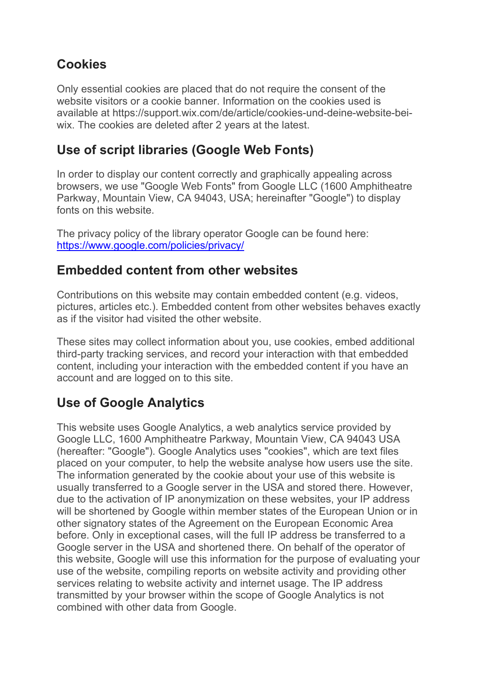# **Cookies**

Only essential cookies are placed that do not require the consent of the website visitors or a cookie banner. Information on the cookies used is available at https://support.wix.com/de/article/cookies-und-deine-website-beiwix. The cookies are deleted after 2 years at the latest.

### **Use of script libraries (Google Web Fonts)**

In order to display our content correctly and graphically appealing across browsers, we use "Google Web Fonts" from Google LLC (1600 Amphitheatre Parkway, Mountain View, CA 94043, USA; hereinafter "Google") to display fonts on this website.

The privacy policy of the library operator Google can be found here: https://www.google.com/policies/privacy/

#### **Embedded content from other websites**

Contributions on this website may contain embedded content (e.g. videos, pictures, articles etc.). Embedded content from other websites behaves exactly as if the visitor had visited the other website.

These sites may collect information about you, use cookies, embed additional third-party tracking services, and record your interaction with that embedded content, including your interaction with the embedded content if you have an account and are logged on to this site.

## **Use of Google Analytics**

This website uses Google Analytics, a web analytics service provided by Google LLC, 1600 Amphitheatre Parkway, Mountain View, CA 94043 USA (hereafter: "Google"). Google Analytics uses "cookies", which are text files placed on your computer, to help the website analyse how users use the site. The information generated by the cookie about your use of this website is usually transferred to a Google server in the USA and stored there. However, due to the activation of IP anonymization on these websites, your IP address will be shortened by Google within member states of the European Union or in other signatory states of the Agreement on the European Economic Area before. Only in exceptional cases, will the full IP address be transferred to a Google server in the USA and shortened there. On behalf of the operator of this website, Google will use this information for the purpose of evaluating your use of the website, compiling reports on website activity and providing other services relating to website activity and internet usage. The IP address transmitted by your browser within the scope of Google Analytics is not combined with other data from Google.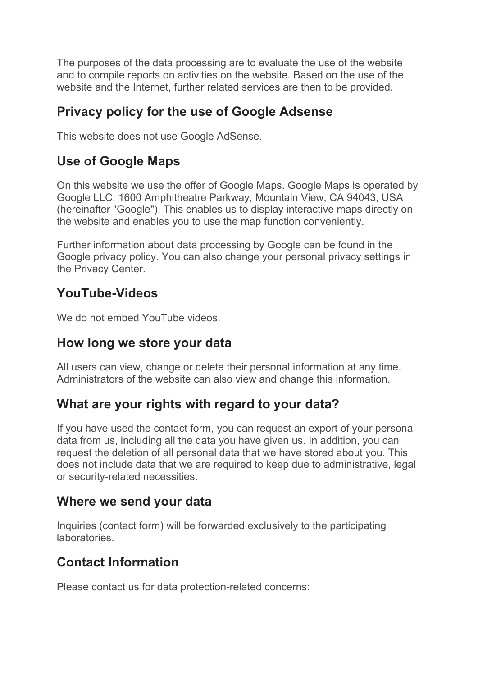The purposes of the data processing are to evaluate the use of the website and to compile reports on activities on the website. Based on the use of the website and the Internet, further related services are then to be provided.

## **Privacy policy for the use of Google Adsense**

This website does not use Google AdSense.

## **Use of Google Maps**

On this website we use the offer of Google Maps. Google Maps is operated by Google LLC, 1600 Amphitheatre Parkway, Mountain View, CA 94043, USA (hereinafter "Google"). This enables us to display interactive maps directly on the website and enables you to use the map function conveniently.

Further information about data processing by Google can be found in the Google privacy policy. You can also change your personal privacy settings in the Privacy Center.

## **YouTube-Videos**

We do not embed YouTube videos

## **How long we store your data**

All users can view, change or delete their personal information at any time. Administrators of the website can also view and change this information.

## **What are your rights with regard to your data?**

If you have used the contact form, you can request an export of your personal data from us, including all the data you have given us. In addition, you can request the deletion of all personal data that we have stored about you. This does not include data that we are required to keep due to administrative, legal or security-related necessities.

#### **Where we send your data**

Inquiries (contact form) will be forwarded exclusively to the participating laboratories.

# **Contact Information**

Please contact us for data protection-related concerns: